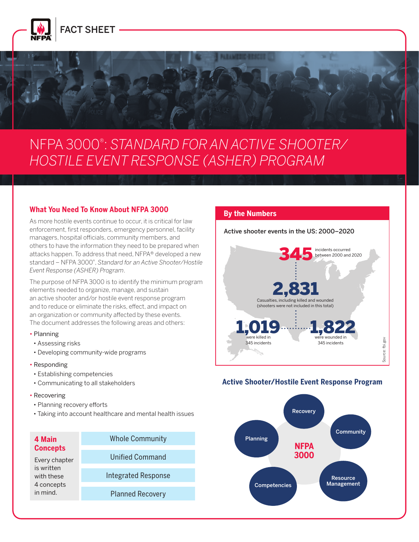

# NFPA 3000® : *STANDARD FOR AN ACTIVE SHOOTER/ HOSTILE EVENT RESPONSE (ASHER) PROGRAM*

#### **What You Need To Know About NFPA 3000**

As more hostile events continue to occur, it is critical for law enforcement, first responders, emergency personnel, facility managers, hospital officials, community members, and others to have the information they need to be prepared when attacks happen. To address that need, NFPA® developed a new standard – NFPA 3000® , *Standard for an Active Shooter/Hostile Event Response (ASHER) Program*.

The purpose of NFPA 3000 is to identify the minimum program elements needed to organize, manage, and sustain an active shooter and/or hostile event response program and to reduce or eliminate the risks, effect, and impact on an organization or community affected by these events. The document addresses the following areas and others:

#### • Planning

- Assessing risks
- Developing community-wide programs
- Responding
- Establishing competencies
- Communicating to all stakeholders
- Recovering
- Planning recovery efforts
- Taking into account healthcare and mental health issues

| 4 Main          | <b>Whole Community</b>     |
|-----------------|----------------------------|
| <b>Concepts</b> |                            |
| Every chapter   | <b>Unified Command</b>     |
| is written      |                            |
| with these      | <b>Integrated Response</b> |
| 4 concepts      |                            |
| in mind         | <b>Planned Recovery</b>    |

#### **By the Numbers**

Active shooter events in the US: 2000–2020



#### **Active Shooter/Hostile Event Response Program**